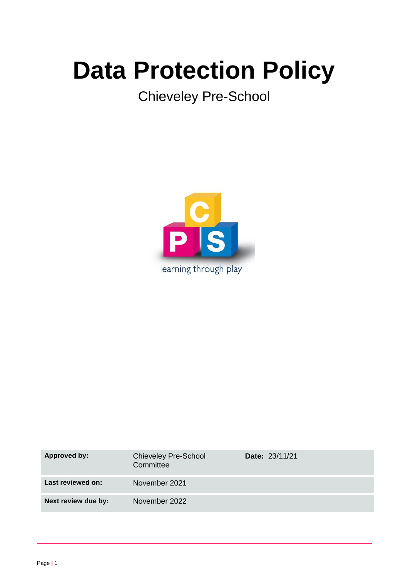# **Data Protection Policy**

Chieveley Pre-School



| <b>Approved by:</b> | <b>Chieveley Pre-School</b><br>Committee | <b>Date: 23/11/21</b> |
|---------------------|------------------------------------------|-----------------------|
| Last reviewed on:   | November 2021                            |                       |
| Next review due by: | November 2022                            |                       |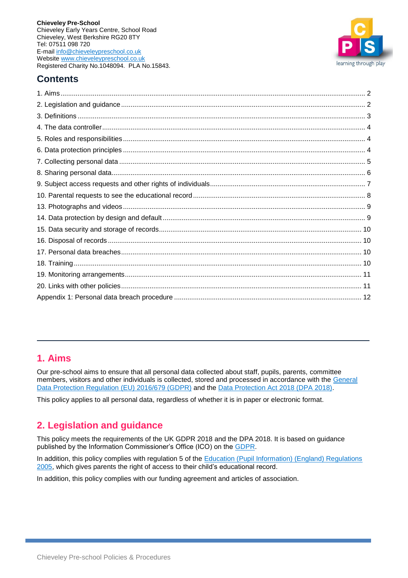

# **Contents**

# <span id="page-1-0"></span>**1. Aims**

Our pre-school aims to ensure that all personal data collected about staff, pupils, parents, committee members, visitors and other individuals is collected, stored and processed in accordance with the [General](https://eur-lex.europa.eu/legal-content/EN/TXT/?qid=1528874672298&uri=CELEX:02016R0679-20160504)  [Data Protection Regulation](https://eur-lex.europa.eu/legal-content/EN/TXT/?qid=1528874672298&uri=CELEX:02016R0679-20160504) (EU) 2016/679 (GDPR) and the [Data Protection Act 2018 \(DPA 2018\).](http://www.legislation.gov.uk/ukpga/2018/12/contents/enacted)

This policy applies to all personal data, regardless of whether it is in paper or electronic format.

# <span id="page-1-1"></span>**2. Legislation and guidance**

This policy meets the requirements of the UK GDPR 2018 and the DPA 2018. It is based on guidance published by the Information Commissioner's Office (ICO) on the [GDPR.](https://ico.org.uk/for-organisations/guide-to-the-general-data-protection-regulation-gdpr/)

In addition, this policy complies with regulation 5 of the Education (Pupil Information) (England) Regulations [2005,](http://www.legislation.gov.uk/uksi/2005/1437/regulation/5/made) which gives parents the right of access to their child's educational record.

In addition, this policy complies with our funding agreement and articles of association.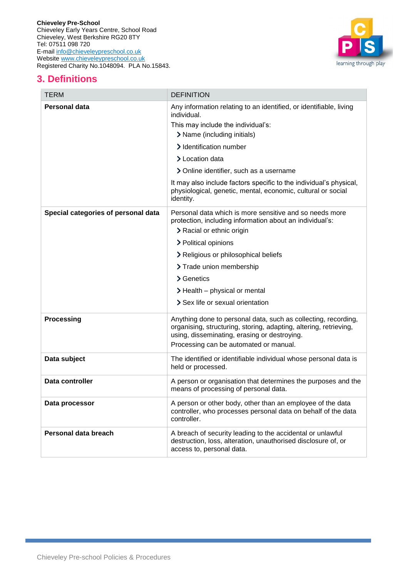

# <span id="page-2-0"></span>**3. Definitions**

| <b>TERM</b>                         | <b>DEFINITION</b>                                                                                                                                                                                                                                                                                                                                                                                  |
|-------------------------------------|----------------------------------------------------------------------------------------------------------------------------------------------------------------------------------------------------------------------------------------------------------------------------------------------------------------------------------------------------------------------------------------------------|
| Personal data                       | Any information relating to an identified, or identifiable, living<br>individual.<br>This may include the individual's:<br>> Name (including initials)<br>> Identification number<br>> Location data<br>> Online identifier, such as a username<br>It may also include factors specific to the individual's physical,<br>physiological, genetic, mental, economic, cultural or social<br>identity. |
| Special categories of personal data | Personal data which is more sensitive and so needs more<br>protection, including information about an individual's:<br>> Racial or ethnic origin<br>> Political opinions<br>> Religious or philosophical beliefs                                                                                                                                                                                   |
|                                     | > Trade union membership                                                                                                                                                                                                                                                                                                                                                                           |
|                                     | > Genetics                                                                                                                                                                                                                                                                                                                                                                                         |
|                                     | > Health – physical or mental                                                                                                                                                                                                                                                                                                                                                                      |
|                                     | > Sex life or sexual orientation                                                                                                                                                                                                                                                                                                                                                                   |
| <b>Processing</b>                   | Anything done to personal data, such as collecting, recording,<br>organising, structuring, storing, adapting, altering, retrieving,<br>using, disseminating, erasing or destroying.<br>Processing can be automated or manual.                                                                                                                                                                      |
| Data subject                        | The identified or identifiable individual whose personal data is<br>held or processed.                                                                                                                                                                                                                                                                                                             |
| Data controller                     | A person or organisation that determines the purposes and the<br>means of processing of personal data.                                                                                                                                                                                                                                                                                             |
| Data processor                      | A person or other body, other than an employee of the data<br>controller, who processes personal data on behalf of the data<br>controller.                                                                                                                                                                                                                                                         |
| Personal data breach                | A breach of security leading to the accidental or unlawful<br>destruction, loss, alteration, unauthorised disclosure of, or<br>access to, personal data.                                                                                                                                                                                                                                           |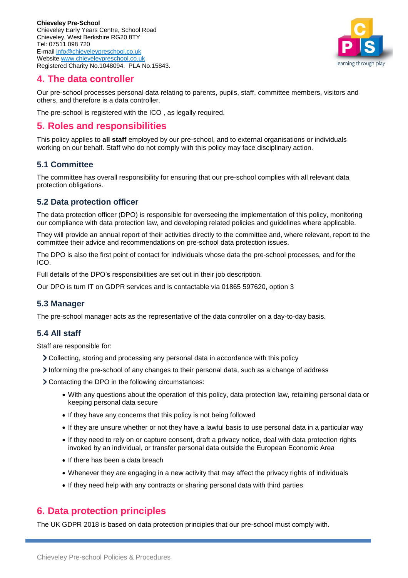

## <span id="page-3-0"></span>**4. The data controller**

Our pre-school processes personal data relating to parents, pupils, staff, committee members, visitors and others, and therefore is a data controller.

The pre-school is registered with the ICO , as legally required.

## <span id="page-3-1"></span>**5. Roles and responsibilities**

This policy applies to **all staff** employed by our pre-school, and to external organisations or individuals working on our behalf. Staff who do not comply with this policy may face disciplinary action.

### **5.1 Committee**

The committee has overall responsibility for ensuring that our pre-school complies with all relevant data protection obligations.

#### **5.2 Data protection officer**

The data protection officer (DPO) is responsible for overseeing the implementation of this policy, monitoring our compliance with data protection law, and developing related policies and guidelines where applicable.

They will provide an annual report of their activities directly to the committee and, where relevant, report to the committee their advice and recommendations on pre-school data protection issues.

The DPO is also the first point of contact for individuals whose data the pre-school processes, and for the ICO.

Full details of the DPO's responsibilities are set out in their job description.

Our DPO is turn IT on GDPR services and is contactable via 01865 597620, option 3

#### **5.3 Manager**

The pre-school manager acts as the representative of the data controller on a day-to-day basis.

#### **5.4 All staff**

Staff are responsible for:

- Collecting, storing and processing any personal data in accordance with this policy
- Informing the pre-school of any changes to their personal data, such as a change of address
- Contacting the DPO in the following circumstances:
	- With any questions about the operation of this policy, data protection law, retaining personal data or keeping personal data secure
	- If they have any concerns that this policy is not being followed
	- If they are unsure whether or not they have a lawful basis to use personal data in a particular way
	- If they need to rely on or capture consent, draft a privacy notice, deal with data protection rights invoked by an individual, or transfer personal data outside the European Economic Area
	- If there has been a data breach
	- Whenever they are engaging in a new activity that may affect the privacy rights of individuals
	- If they need help with any contracts or sharing personal data with third parties

## <span id="page-3-2"></span>**6. Data protection principles**

The UK GDPR 2018 is based on data protection principles that our pre-school must comply with.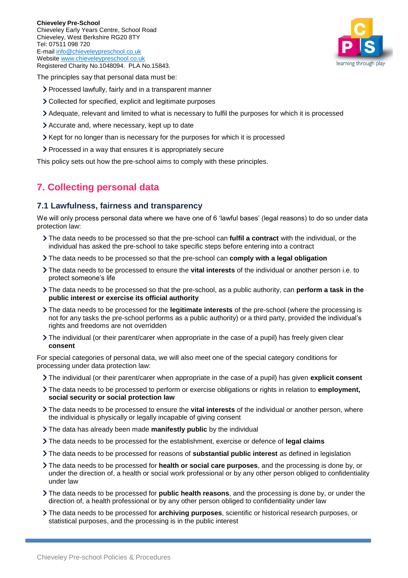

The principles say that personal data must be:

- > Processed lawfully, fairly and in a transparent manner
- Collected for specified, explicit and legitimate purposes
- Adequate, relevant and limited to what is necessary to fulfil the purposes for which it is processed
- Accurate and, where necessary, kept up to date
- Xept for no longer than is necessary for the purposes for which it is processed
- Processed in a way that ensures it is appropriately secure

This policy sets out how the pre-school aims to comply with these principles.

## <span id="page-4-0"></span>**7. Collecting personal data**

#### **7.1 Lawfulness, fairness and transparency**

We will only process personal data where we have one of 6 'lawful bases' (legal reasons) to do so under data protection law:

- The data needs to be processed so that the pre-school can **fulfil a contract** with the individual, or the individual has asked the pre-school to take specific steps before entering into a contract
- The data needs to be processed so that the pre-school can **comply with a legal obligation**
- The data needs to be processed to ensure the **vital interests** of the individual or another person i.e. to protect someone's life
- The data needs to be processed so that the pre-school, as a public authority, can **perform a task in the public interest or exercise its official authority**
- The data needs to be processed for the **legitimate interests** of the pre-school (where the processing is not for any tasks the pre-school performs as a public authority) or a third party, provided the individual's rights and freedoms are not overridden
- The individual (or their parent/carer when appropriate in the case of a pupil) has freely given clear **consent**

For special categories of personal data, we will also meet one of the special category conditions for processing under data protection law:

- The individual (or their parent/carer when appropriate in the case of a pupil) has given **explicit consent**
- The data needs to be processed to perform or exercise obligations or rights in relation to **employment, social security or social protection law**
- The data needs to be processed to ensure the **vital interests** of the individual or another person, where the individual is physically or legally incapable of giving consent
- The data has already been made **manifestly public** by the individual
- The data needs to be processed for the establishment, exercise or defence of **legal claims**
- The data needs to be processed for reasons of **substantial public interest** as defined in legislation
- The data needs to be processed for **health or social care purposes**, and the processing is done by, or under the direction of, a health or social work professional or by any other person obliged to confidentiality under law
- The data needs to be processed for **public health reasons**, and the processing is done by, or under the direction of, a health professional or by any other person obliged to confidentiality under law
- The data needs to be processed for **archiving purposes**, scientific or historical research purposes, or statistical purposes, and the processing is in the public interest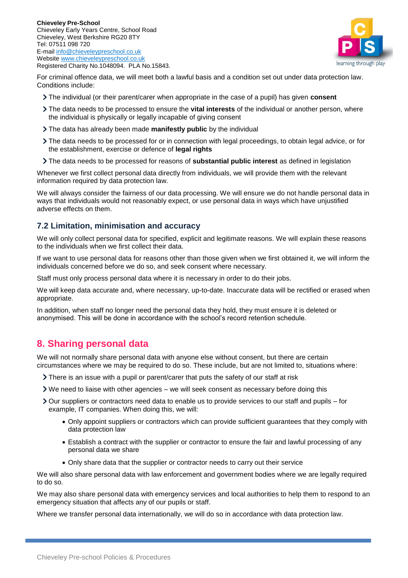

For criminal offence data, we will meet both a lawful basis and a condition set out under data protection law. Conditions include:

- The individual (or their parent/carer when appropriate in the case of a pupil) has given **consent**
- The data needs to be processed to ensure the **vital interests** of the individual or another person, where the individual is physically or legally incapable of giving consent
- The data has already been made **manifestly public** by the individual
- The data needs to be processed for or in connection with legal proceedings, to obtain legal advice, or for the establishment, exercise or defence of **legal rights**
- The data needs to be processed for reasons of **substantial public interest** as defined in legislation

Whenever we first collect personal data directly from individuals, we will provide them with the relevant information required by data protection law.

We will always consider the fairness of our data processing. We will ensure we do not handle personal data in ways that individuals would not reasonably expect, or use personal data in ways which have unjustified adverse effects on them.

#### **7.2 Limitation, minimisation and accuracy**

We will only collect personal data for specified, explicit and legitimate reasons. We will explain these reasons to the individuals when we first collect their data.

If we want to use personal data for reasons other than those given when we first obtained it, we will inform the individuals concerned before we do so, and seek consent where necessary.

Staff must only process personal data where it is necessary in order to do their jobs.

We will keep data accurate and, where necessary, up-to-date. Inaccurate data will be rectified or erased when appropriate.

In addition, when staff no longer need the personal data they hold, they must ensure it is deleted or anonymised. This will be done in accordance with the school's record retention schedule.

## <span id="page-5-0"></span>**8. Sharing personal data**

We will not normally share personal data with anyone else without consent, but there are certain circumstances where we may be required to do so. These include, but are not limited to, situations where:

- There is an issue with a pupil or parent/carer that puts the safety of our staff at risk
- $\triangleright$  We need to liaise with other agencies we will seek consent as necessary before doing this
- Our suppliers or contractors need data to enable us to provide services to our staff and pupils for example, IT companies. When doing this, we will:
	- Only appoint suppliers or contractors which can provide sufficient guarantees that they comply with data protection law
	- Establish a contract with the supplier or contractor to ensure the fair and lawful processing of any personal data we share
	- Only share data that the supplier or contractor needs to carry out their service

We will also share personal data with law enforcement and government bodies where we are legally required to do so.

We may also share personal data with emergency services and local authorities to help them to respond to an emergency situation that affects any of our pupils or staff.

Where we transfer personal data internationally, we will do so in accordance with data protection law.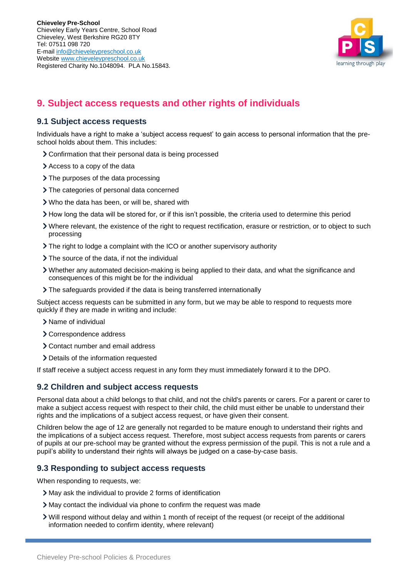

# <span id="page-6-0"></span>**9. Subject access requests and other rights of individuals**

#### **9.1 Subject access requests**

Individuals have a right to make a 'subject access request' to gain access to personal information that the preschool holds about them. This includes:

- Confirmation that their personal data is being processed
- Access to a copy of the data
- > The purposes of the data processing
- > The categories of personal data concerned
- Who the data has been, or will be, shared with
- How long the data will be stored for, or if this isn't possible, the criteria used to determine this period
- Where relevant, the existence of the right to request rectification, erasure or restriction, or to object to such processing
- The right to lodge a complaint with the ICO or another supervisory authority
- > The source of the data, if not the individual
- Whether any automated decision-making is being applied to their data, and what the significance and consequences of this might be for the individual
- The safeguards provided if the data is being transferred internationally

Subject access requests can be submitted in any form, but we may be able to respond to requests more quickly if they are made in writing and include:

- > Name of individual
- > Correspondence address
- Contact number and email address
- Details of the information requested

If staff receive a subject access request in any form they must immediately forward it to the DPO.

#### **9.2 Children and subject access requests**

Personal data about a child belongs to that child, and not the child's parents or carers. For a parent or carer to make a subject access request with respect to their child, the child must either be unable to understand their rights and the implications of a subject access request, or have given their consent.

Children below the age of 12 are generally not regarded to be mature enough to understand their rights and the implications of a subject access request. Therefore, most subject access requests from parents or carers of pupils at our pre-school may be granted without the express permission of the pupil. This is not a rule and a pupil's ability to understand their rights will always be judged on a case-by-case basis.

#### **9.3 Responding to subject access requests**

When responding to requests, we:

- May ask the individual to provide 2 forms of identification
- May contact the individual via phone to confirm the request was made
- Will respond without delay and within 1 month of receipt of the request (or receipt of the additional information needed to confirm identity, where relevant)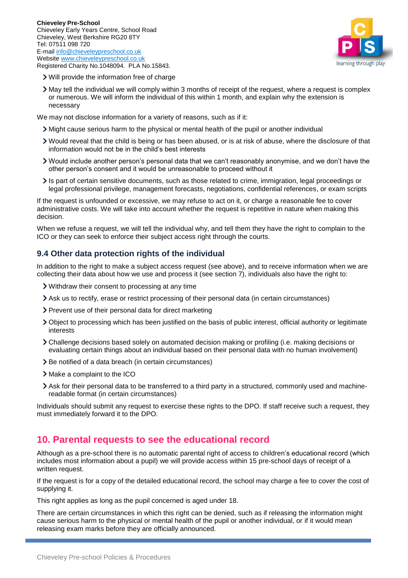

- Will provide the information free of charge
- May tell the individual we will comply within 3 months of receipt of the request, where a request is complex or numerous. We will inform the individual of this within 1 month, and explain why the extension is necessary

We may not disclose information for a variety of reasons, such as if it:

- Might cause serious harm to the physical or mental health of the pupil or another individual
- Would reveal that the child is being or has been abused, or is at risk of abuse, where the disclosure of that information would not be in the child's best interests
- Would include another person's personal data that we can't reasonably anonymise, and we don't have the other person's consent and it would be unreasonable to proceed without it
- Is part of certain sensitive documents, such as those related to crime, immigration, legal proceedings or legal professional privilege, management forecasts, negotiations, confidential references, or exam scripts

If the request is unfounded or excessive, we may refuse to act on it, or charge a reasonable fee to cover administrative costs. We will take into account whether the request is repetitive in nature when making this decision.

When we refuse a request, we will tell the individual why, and tell them they have the right to complain to the ICO or they can seek to enforce their subject access right through the courts.

#### **9.4 Other data protection rights of the individual**

In addition to the right to make a subject access request (see above), and to receive information when we are collecting their data about how we use and process it (see section 7), individuals also have the right to:

- Withdraw their consent to processing at any time
- Ask us to rectify, erase or restrict processing of their personal data (in certain circumstances)
- > Prevent use of their personal data for direct marketing
- Object to processing which has been justified on the basis of public interest, official authority or legitimate interests
- Challenge decisions based solely on automated decision making or profiling (i.e. making decisions or evaluating certain things about an individual based on their personal data with no human involvement)
- > Be notified of a data breach (in certain circumstances)
- > Make a complaint to the ICO
- Ask for their personal data to be transferred to a third party in a structured, commonly used and machinereadable format (in certain circumstances)

Individuals should submit any request to exercise these rights to the DPO. If staff receive such a request, they must immediately forward it to the DPO.

## <span id="page-7-0"></span>**10. Parental requests to see the educational record**

Although as a pre-school there is no automatic parental right of access to children's educational record (which includes most information about a pupil) we will provide access within 15 pre-school days of receipt of a written request.

If the request is for a copy of the detailed educational record, the school may charge a fee to cover the cost of supplying it.

This right applies as long as the pupil concerned is aged under 18.

There are certain circumstances in which this right can be denied, such as if releasing the information might cause serious harm to the physical or mental health of the pupil or another individual, or if it would mean releasing exam marks before they are officially announced.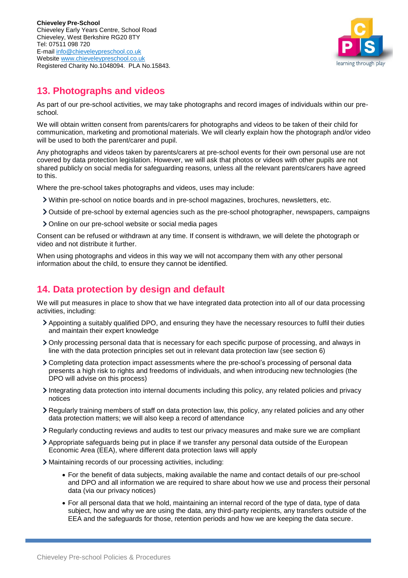

# <span id="page-8-0"></span>**13. Photographs and videos**

As part of our pre-school activities, we may take photographs and record images of individuals within our preschool.

We will obtain written consent from parents/carers for photographs and videos to be taken of their child for communication, marketing and promotional materials. We will clearly explain how the photograph and/or video will be used to both the parent/carer and pupil.

Any photographs and videos taken by parents/carers at pre-school events for their own personal use are not covered by data protection legislation. However, we will ask that photos or videos with other pupils are not shared publicly on social media for safeguarding reasons, unless all the relevant parents/carers have agreed to this.

Where the pre-school takes photographs and videos, uses may include:

- Within pre-school on notice boards and in pre-school magazines, brochures, newsletters, etc.
- Outside of pre-school by external agencies such as the pre-school photographer, newspapers, campaigns
- Online on our pre-school website or social media pages

Consent can be refused or withdrawn at any time. If consent is withdrawn, we will delete the photograph or video and not distribute it further.

When using photographs and videos in this way we will not accompany them with any other personal information about the child, to ensure they cannot be identified.

# <span id="page-8-1"></span>**14. Data protection by design and default**

We will put measures in place to show that we have integrated data protection into all of our data processing activities, including:

- Appointing a suitably qualified DPO, and ensuring they have the necessary resources to fulfil their duties and maintain their expert knowledge
- Only processing personal data that is necessary for each specific purpose of processing, and always in line with the data protection principles set out in relevant data protection law (see section 6)
- Completing data protection impact assessments where the pre-school's processing of personal data presents a high risk to rights and freedoms of individuals, and when introducing new technologies (the DPO will advise on this process)
- Integrating data protection into internal documents including this policy, any related policies and privacy notices
- Regularly training members of staff on data protection law, this policy, any related policies and any other data protection matters; we will also keep a record of attendance
- Regularly conducting reviews and audits to test our privacy measures and make sure we are compliant
- Appropriate safeguards being put in place if we transfer any personal data outside of the European Economic Area (EEA), where different data protection laws will apply
- Maintaining records of our processing activities, including:
	- For the benefit of data subjects, making available the name and contact details of our pre-school and DPO and all information we are required to share about how we use and process their personal data (via our privacy notices)
	- For all personal data that we hold, maintaining an internal record of the type of data, type of data subject, how and why we are using the data, any third-party recipients, any transfers outside of the EEA and the safeguards for those, retention periods and how we are keeping the data secure.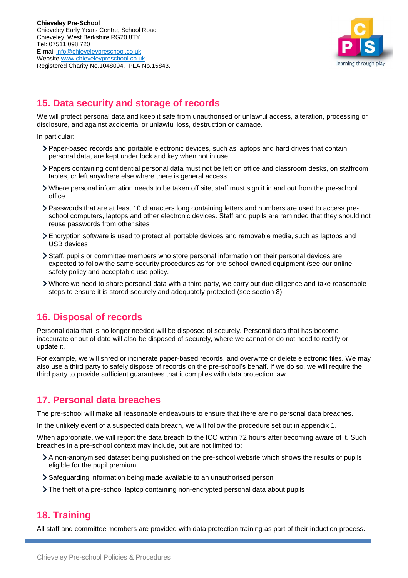

# <span id="page-9-0"></span>**15. Data security and storage of records**

We will protect personal data and keep it safe from unauthorised or unlawful access, alteration, processing or disclosure, and against accidental or unlawful loss, destruction or damage.

In particular:

- Paper-based records and portable electronic devices, such as laptops and hard drives that contain personal data, are kept under lock and key when not in use
- Papers containing confidential personal data must not be left on office and classroom desks, on staffroom tables, or left anywhere else where there is general access
- Where personal information needs to be taken off site, staff must sign it in and out from the pre-school office
- Passwords that are at least 10 characters long containing letters and numbers are used to access preschool computers, laptops and other electronic devices. Staff and pupils are reminded that they should not reuse passwords from other sites
- Encryption software is used to protect all portable devices and removable media, such as laptops and USB devices
- Staff, pupils or committee members who store personal information on their personal devices are expected to follow the same security procedures as for pre-school-owned equipment (see our online safety policy and acceptable use policy.
- Where we need to share personal data with a third party, we carry out due diligence and take reasonable steps to ensure it is stored securely and adequately protected (see section 8)

# <span id="page-9-1"></span>**16. Disposal of records**

Personal data that is no longer needed will be disposed of securely. Personal data that has become inaccurate or out of date will also be disposed of securely, where we cannot or do not need to rectify or update it.

For example, we will shred or incinerate paper-based records, and overwrite or delete electronic files. We may also use a third party to safely dispose of records on the pre-school's behalf. If we do so, we will require the third party to provide sufficient guarantees that it complies with data protection law.

# <span id="page-9-2"></span>**17. Personal data breaches**

The pre-school will make all reasonable endeavours to ensure that there are no personal data breaches.

In the unlikely event of a suspected data breach, we will follow the procedure set out in appendix 1.

When appropriate, we will report the data breach to the ICO within 72 hours after becoming aware of it. Such breaches in a pre-school context may include, but are not limited to:

- A non-anonymised dataset being published on the pre-school website which shows the results of pupils eligible for the pupil premium
- Safeguarding information being made available to an unauthorised person
- The theft of a pre-school laptop containing non-encrypted personal data about pupils

## <span id="page-9-3"></span>**18. Training**

All staff and committee members are provided with data protection training as part of their induction process.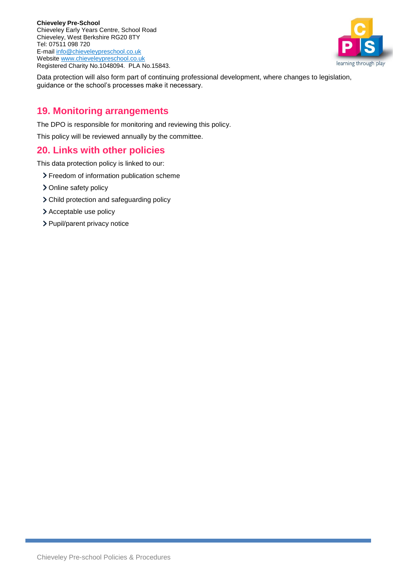

Data protection will also form part of continuing professional development, where changes to legislation, guidance or the school's processes make it necessary.

## <span id="page-10-0"></span>**19. Monitoring arrangements**

The DPO is responsible for monitoring and reviewing this policy.

This policy will be reviewed annually by the committee.

## <span id="page-10-1"></span>**20. Links with other policies**

This data protection policy is linked to our:

- > Freedom of information publication scheme
- > Online safety policy
- Child protection and safeguarding policy
- > Acceptable use policy
- > Pupil/parent privacy notice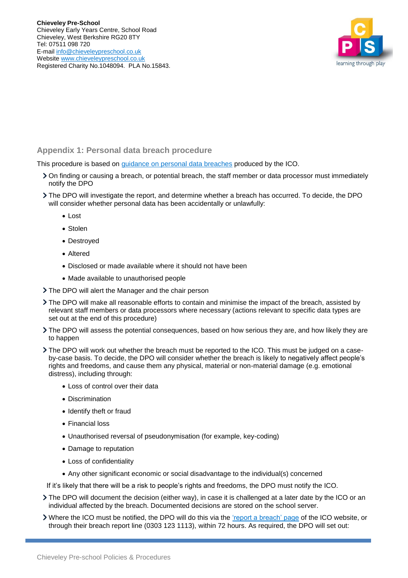

#### <span id="page-11-0"></span>**Appendix 1: Personal data breach procedure**

This procedure is based on [guidance on personal data breaches](https://ico.org.uk/for-organisations/guide-to-the-general-data-protection-regulation-gdpr/personal-data-breaches/) produced by the ICO.

- On finding or causing a breach, or potential breach, the staff member or data processor must immediately notify the DPO
- The DPO will investigate the report, and determine whether a breach has occurred. To decide, the DPO will consider whether personal data has been accidentally or unlawfully:
	- Lost
	- Stolen
	- Destroyed
	- Altered
	- Disclosed or made available where it should not have been
	- Made available to unauthorised people
- The DPO will alert the Manager and the chair person
- The DPO will make all reasonable efforts to contain and minimise the impact of the breach, assisted by relevant staff members or data processors where necessary (actions relevant to specific data types are set out at the end of this procedure)
- The DPO will assess the potential consequences, based on how serious they are, and how likely they are to happen
- The DPO will work out whether the breach must be reported to the ICO. This must be judged on a caseby-case basis. To decide, the DPO will consider whether the breach is likely to negatively affect people's rights and freedoms, and cause them any physical, material or non-material damage (e.g. emotional distress), including through:
	- Loss of control over their data
	- Discrimination
	- Identify theft or fraud
	- Financial loss
	- Unauthorised reversal of pseudonymisation (for example, key-coding)
	- Damage to reputation
	- Loss of confidentiality
	- Any other significant economic or social disadvantage to the individual(s) concerned

If it's likely that there will be a risk to people's rights and freedoms, the DPO must notify the ICO.

- The DPO will document the decision (either way), in case it is challenged at a later date by the ICO or an individual affected by the breach. Documented decisions are stored on the school server.
- Where the ICO must be notified, the DPO will do this via the ['report a breach' page](https://ico.org.uk/for-organisations/report-a-breach/) of the ICO website, or through their breach report line (0303 123 1113), within 72 hours. As required, the DPO will set out: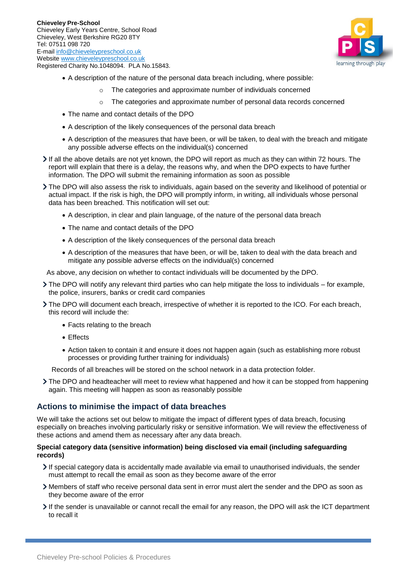

- A description of the nature of the personal data breach including, where possible:
	- The categories and approximate number of individuals concerned
	- o The categories and approximate number of personal data records concerned
- The name and contact details of the DPO
- A description of the likely consequences of the personal data breach
- A description of the measures that have been, or will be taken, to deal with the breach and mitigate any possible adverse effects on the individual(s) concerned
- If all the above details are not yet known, the DPO will report as much as they can within 72 hours. The report will explain that there is a delay, the reasons why, and when the DPO expects to have further information. The DPO will submit the remaining information as soon as possible
- The DPO will also assess the risk to individuals, again based on the severity and likelihood of potential or actual impact. If the risk is high, the DPO will promptly inform, in writing, all individuals whose personal data has been breached. This notification will set out:
	- A description, in clear and plain language, of the nature of the personal data breach
	- The name and contact details of the DPO
	- A description of the likely consequences of the personal data breach
	- A description of the measures that have been, or will be, taken to deal with the data breach and mitigate any possible adverse effects on the individual(s) concerned

As above, any decision on whether to contact individuals will be documented by the DPO.

- The DPO will notify any relevant third parties who can help mitigate the loss to individuals for example, the police, insurers, banks or credit card companies
- The DPO will document each breach, irrespective of whether it is reported to the ICO. For each breach, this record will include the:
	- Facts relating to the breach
	- Effects
	- Action taken to contain it and ensure it does not happen again (such as establishing more robust processes or providing further training for individuals)

Records of all breaches will be stored on the school network in a data protection folder.

The DPO and headteacher will meet to review what happened and how it can be stopped from happening again. This meeting will happen as soon as reasonably possible

#### **Actions to minimise the impact of data breaches**

We will take the actions set out below to mitigate the impact of different types of data breach, focusing especially on breaches involving particularly risky or sensitive information. We will review the effectiveness of these actions and amend them as necessary after any data breach.

#### **Special category data (sensitive information) being disclosed via email (including safeguarding records)**

- If special category data is accidentally made available via email to unauthorised individuals, the sender must attempt to recall the email as soon as they become aware of the error
- Members of staff who receive personal data sent in error must alert the sender and the DPO as soon as they become aware of the error
- If the sender is unavailable or cannot recall the email for any reason, the DPO will ask the ICT department to recall it